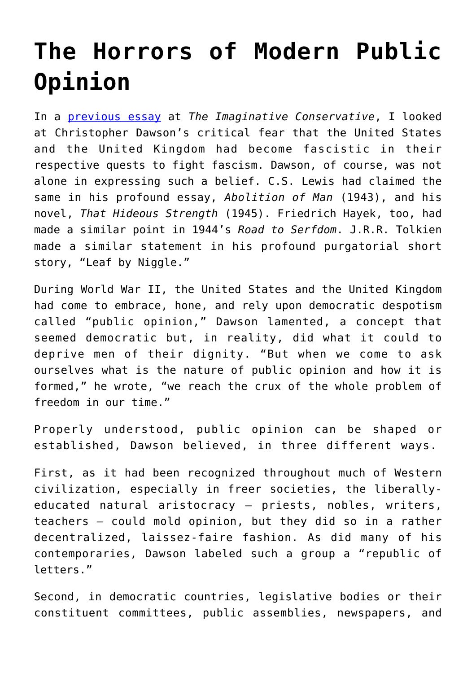## **[The Horrors of Modern Public](https://intellectualtakeout.org/2019/08/the-horrors-of-modern-public-opinion/) [Opinion](https://intellectualtakeout.org/2019/08/the-horrors-of-modern-public-opinion/)**

In a [previous essay](https://theimaginativeconservative.org/2019/08/becoming-enemy-world-war-ii-christopher-dawson-bradley-birzer.html) at *The Imaginative Conservative*, I looked at Christopher Dawson's critical fear that the United States and the United Kingdom had become fascistic in their respective quests to fight fascism. Dawson, of course, was not alone in expressing such a belief. C.S. Lewis had claimed the same in his profound essay, *Abolition of Man* (1943), and his novel, *That Hideous Strength* (1945). Friedrich Hayek, too, had made a similar point in 1944's *Road to Serfdom*. J.R.R. Tolkien made a similar statement in his profound purgatorial short story, "Leaf by Niggle."

During World War II, the United States and the United Kingdom had come to embrace, hone, and rely upon democratic despotism called "public opinion," Dawson lamented, a concept that seemed democratic but, in reality, did what it could to deprive men of their dignity. "But when we come to ask ourselves what is the nature of public opinion and how it is formed," he wrote, "we reach the crux of the whole problem of freedom in our time."

Properly understood, public opinion can be shaped or established, Dawson believed, in three different ways.

First, as it had been recognized throughout much of Western civilization, especially in freer societies, the liberallyeducated natural aristocracy – priests, nobles, writers, teachers – could mold opinion, but they did so in a rather decentralized, laissez-faire fashion. As did many of his contemporaries, Dawson labeled such a group a "republic of letters."

Second, in democratic countries, legislative bodies or their constituent committees, public assemblies, newspapers, and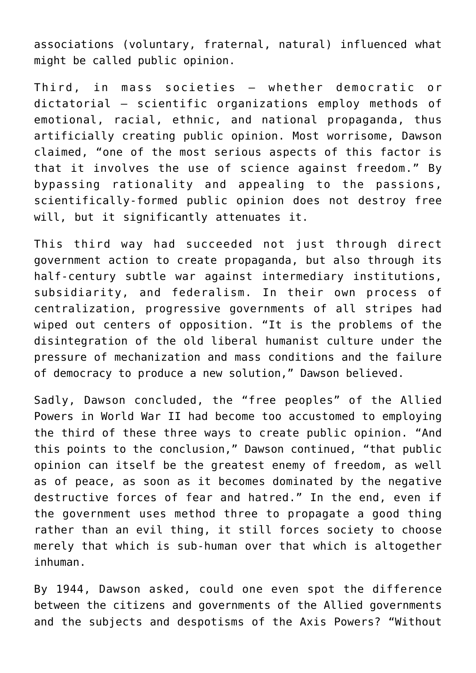associations (voluntary, fraternal, natural) influenced what might be called public opinion.

Third, in mass societies – whether democratic or dictatorial – scientific organizations employ methods of emotional, racial, ethnic, and national propaganda, thus artificially creating public opinion. Most worrisome, Dawson claimed, "one of the most serious aspects of this factor is that it involves the use of science against freedom." By bypassing rationality and appealing to the passions, scientifically-formed public opinion does not destroy free will, but it significantly attenuates it.

This third way had succeeded not just through direct government action to create propaganda, but also through its half-century subtle war against intermediary institutions, subsidiarity, and federalism. In their own process of centralization, progressive governments of all stripes had wiped out centers of opposition. "It is the problems of the disintegration of the old liberal humanist culture under the pressure of mechanization and mass conditions and the failure of democracy to produce a new solution," Dawson believed.

Sadly, Dawson concluded, the "free peoples" of the Allied Powers in World War II had become too accustomed to employing the third of these three ways to create public opinion. "And this points to the conclusion," Dawson continued, "that public opinion can itself be the greatest enemy of freedom, as well as of peace, as soon as it becomes dominated by the negative destructive forces of fear and hatred." In the end, even if the government uses method three to propagate a good thing rather than an evil thing, it still forces society to choose merely that which is sub-human over that which is altogether inhuman.

By 1944, Dawson asked, could one even spot the difference between the citizens and governments of the Allied governments and the subjects and despotisms of the Axis Powers? "Without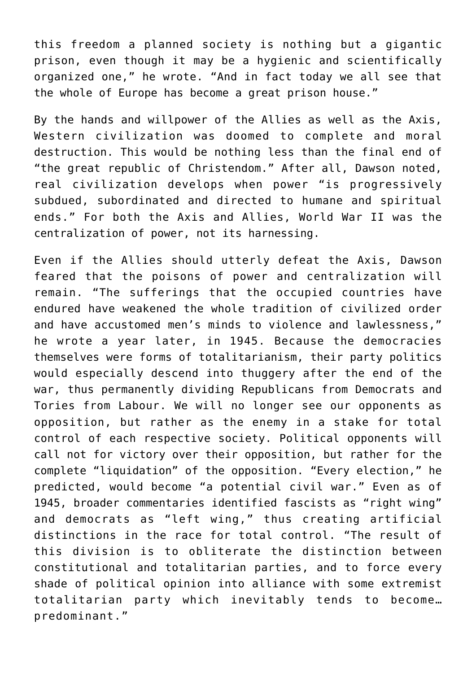this freedom a planned society is nothing but a gigantic prison, even though it may be a hygienic and scientifically organized one," he wrote. "And in fact today we all see that the whole of Europe has become a great prison house."

By the hands and willpower of the Allies as well as the Axis, Western civilization was doomed to complete and moral destruction. This would be nothing less than the final end of "the great republic of Christendom." After all, Dawson noted, real civilization develops when power "is progressively subdued, subordinated and directed to humane and spiritual ends." For both the Axis and Allies, World War II was the centralization of power, not its harnessing.

Even if the Allies should utterly defeat the Axis, Dawson feared that the poisons of power and centralization will remain. "The sufferings that the occupied countries have endured have weakened the whole tradition of civilized order and have accustomed men's minds to violence and lawlessness," he wrote a year later, in 1945. Because the democracies themselves were forms of totalitarianism, their party politics would especially descend into thuggery after the end of the war, thus permanently dividing Republicans from Democrats and Tories from Labour. We will no longer see our opponents as opposition, but rather as the enemy in a stake for total control of each respective society. Political opponents will call not for victory over their opposition, but rather for the complete "liquidation" of the opposition. "Every election," he predicted, would become "a potential civil war." Even as of 1945, broader commentaries identified fascists as "right wing" and democrats as "left wing," thus creating artificial distinctions in the race for total control. "The result of this division is to obliterate the distinction between constitutional and totalitarian parties, and to force every shade of political opinion into alliance with some extremist totalitarian party which inevitably tends to become… predominant."